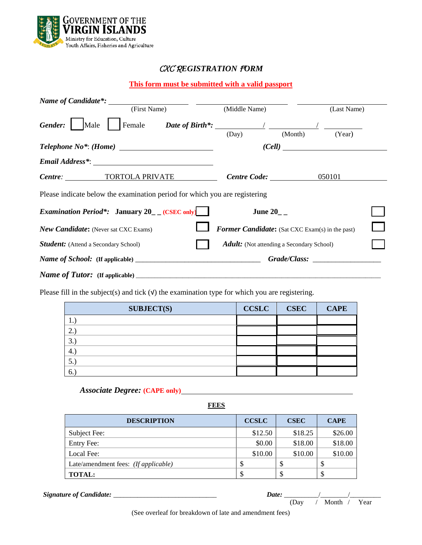

# CXC R*EGISTRATION* F*ORM*

## **This form must be submitted with a valid passport**

| Name of Candidate <sup>*</sup> :                                           |                                                          |             |
|----------------------------------------------------------------------------|----------------------------------------------------------|-------------|
| (First Name)                                                               | (Middle Name)                                            | (Last Name) |
| Gender:<br>Male                                                            | Female Date of Birth*: $\frac{1}{2}$<br>(Month)<br>(Day) | (Year)      |
|                                                                            |                                                          |             |
|                                                                            |                                                          |             |
| Centre: TORTOLA PRIVATE                                                    | $Centre Code:$ 050101                                    |             |
| Please indicate below the examination period for which you are registering |                                                          |             |
| <i>Examination Period*:</i> January $20$ (CSEC only)                       | June 20_ $-$                                             |             |
| <b>New Candidate:</b> (Never sat CXC Exams)                                | <b>Former Candidate:</b> (Sat CXC Exam(s) in the past)   |             |
| <b>Student:</b> (Attend a Secondary School)                                | <b>Adult:</b> (Not attending a Secondary School)         |             |
|                                                                            | Grade/Class:                                             |             |
|                                                                            |                                                          |             |

Please fill in the subject(s) and tick  $(V)$  the examination type for which you are registering.

| <b>SUBJECT(S)</b> | <b>CCSLC</b> | <b>CSEC</b> | <b>CAPE</b> |
|-------------------|--------------|-------------|-------------|
|                   |              |             |             |
| <u>، ،</u>        |              |             |             |
| 3.                |              |             |             |
| 4.                |              |             |             |
| $\mathcal{D}$ .   |              |             |             |
| 6.                |              |             |             |

*Associate Degree:* **(CAPE only)**

**FEES**

| <b>DESCRIPTION</b>                   | <b>CCSLC</b> | <b>CSEC</b> | <b>CAPE</b> |
|--------------------------------------|--------------|-------------|-------------|
| Subject Fee:                         | \$12.50      | \$18.25     | \$26.00     |
| <b>Entry Fee:</b>                    | \$0.00       | \$18.00     | \$18.00     |
| Local Fee:                           | \$10.00      | \$10.00     | \$10.00     |
| Late/amendment fees: (If applicable) |              |             | S           |
| <b>TOTAL:</b>                        |              |             | J.          |

 *Signature of Candidate:* \_\_\_\_\_\_\_\_\_\_\_\_\_\_\_\_\_\_\_\_\_\_\_\_\_\_\_\_\_\_ *Date:* \_\_\_\_\_\_\_\_\_\_/\_\_\_\_\_\_\_\_/\_\_\_\_\_\_\_\_\_

| Date: |      |       |      |
|-------|------|-------|------|
|       | (Day | Month | Year |

(See overleaf for breakdown of late and amendment fees)